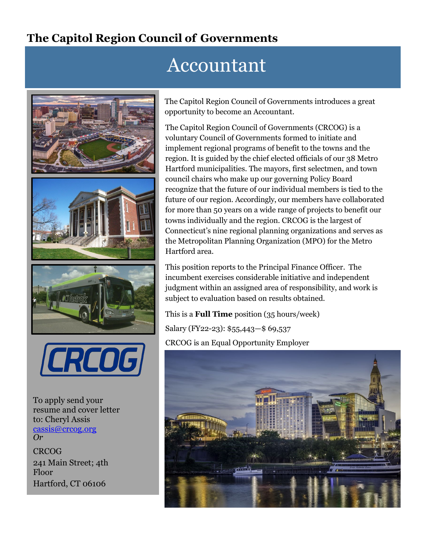## **The Capitol Region Council of Governments**

# Accountant





To apply send your resume and cover letter to: Cheryl Assi[s](mailto:%20cassis@crcog.org) [cassis@crcog.org](mailto:%20cassis@crcog.org) *Or*

**CRCOG** 241 Main Street; 4th Floor Hartford, CT 06106

The Capitol Region Council of Governments introduces a great opportunity to become an Accountant.

The Capitol Region Council of Governments (CRCOG) is a voluntary Council of Governments formed to initiate and implement regional programs of benefit to the towns and the region. It is guided by the chief elected officials of our 38 Metro Hartford municipalities. The mayors, first selectmen, and town council chairs who make up our governing Policy Board recognize that the future of our individual members is tied to the future of our region. Accordingly, our members have collaborated for more than 50 years on a wide range of projects to benefit our towns individually and the region. CRCOG is the largest of Connecticut's nine regional planning organizations and serves as the Metropolitan Planning Organization (MPO) for the Metro Hartford area.

This position reports to the Principal Finance Officer. The incumbent exercises considerable initiative and independent judgment within an assigned area of responsibility, and work is subject to evaluation based on results obtained.

#### This is a **Full Time** position (35 hours/week)

Salary (FY22-23): \$55,443—\$ 69,537 CRCOG is an Equal Opportunity Employer